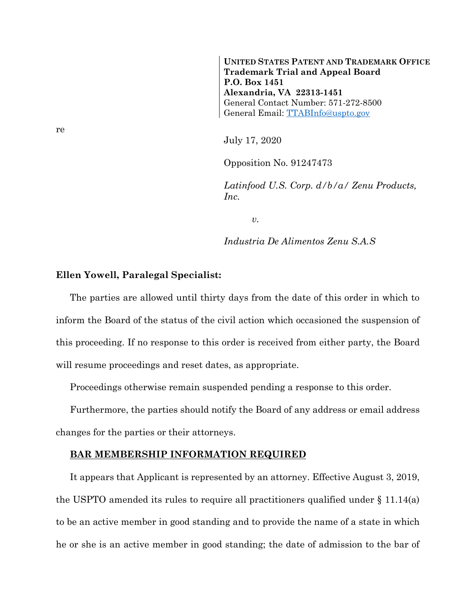**UNITED STATES PATENT AND TRADEMARK OFFICE Trademark Trial and Appeal Board P.O. Box 1451 Alexandria, VA 22313-1451** General Contact Number: 571-272-8500 General Email: [TTABInfo@uspto.gov](mailto:TTABInfo@uspto.gov)

July 17, 2020

Opposition No. 91247473

*Latinfood U.S. Corp. d/b/a/ Zenu Products, Inc.*

*v.*

*Industria De Alimentos Zenu S.A.S*

## **Ellen Yowell, Paralegal Specialist:**

The parties are allowed until thirty days from the date of this order in which to inform the Board of the status of the civil action which occasioned the suspension of this proceeding. If no response to this order is received from either party, the Board will resume proceedings and reset dates, as appropriate.

Proceedings otherwise remain suspended pending a response to this order.

Furthermore, the parties should notify the Board of any address or email address changes for the parties or their attorneys.

## **BAR MEMBERSHIP INFORMATION REQUIRED**

It appears that Applicant is represented by an attorney. Effective August 3, 2019, the USPTO amended its rules to require all practitioners qualified under § 11.14(a) to be an active member in good standing and to provide the name of a state in which he or she is an active member in good standing; the date of admission to the bar of